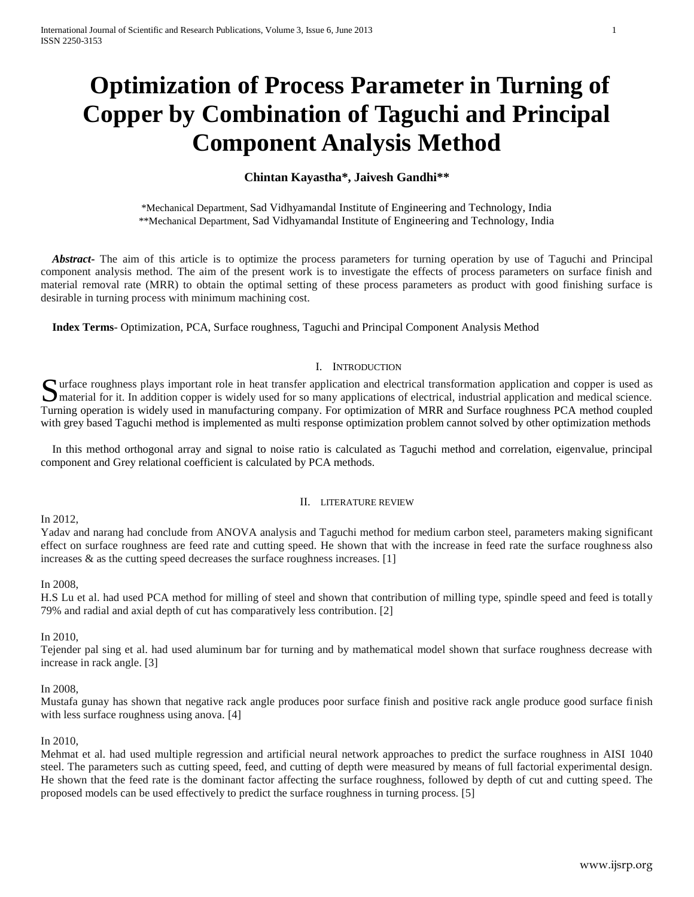# **Optimization of Process Parameter in Turning of Copper by Combination of Taguchi and Principal Component Analysis Method**

# **Chintan Kayastha\*, Jaivesh Gandhi\*\***

\*Mechanical Department, Sad Vidhyamandal Institute of Engineering and Technology, India \*\*Mechanical Department, Sad Vidhyamandal Institute of Engineering and Technology, India

 *Abstract***-** The aim of this article is to optimize the process parameters for turning operation by use of Taguchi and Principal component analysis method. The aim of the present work is to investigate the effects of process parameters on surface finish and material removal rate (MRR) to obtain the optimal setting of these process parameters as product with good finishing surface is desirable in turning process with minimum machining cost.

 **Index Terms**- Optimization, PCA, Surface roughness, Taguchi and Principal Component Analysis Method

## I. INTRODUCTION

Surface roughness plays important role in heat transfer application and electrical transformation application and copper is used as material for it. In addition copper is widely used for so many applications of electrical,  $\Box$  material for it. In addition copper is widely used for so many applications of electrical, industrial application and medical science. Turning operation is widely used in manufacturing company. For optimization of MRR and Surface roughness PCA method coupled with grey based Taguchi method is implemented as multi response optimization problem cannot solved by other optimization methods

 In this method orthogonal array and signal to noise ratio is calculated as Taguchi method and correlation, eigenvalue, principal component and Grey relational coefficient is calculated by PCA methods.

## II. LITERATURE REVIEW

## In 2012,

Yadav and narang had conclude from ANOVA analysis and Taguchi method for medium carbon steel, parameters making significant effect on surface roughness are feed rate and cutting speed. He shown that with the increase in feed rate the surface roughness also increases  $\&$  as the cutting speed decreases the surface roughness increases. [1]

## In 2008,

H.S Lu et al. had used PCA method for milling of steel and shown that contribution of milling type, spindle speed and feed is totally 79% and radial and axial depth of cut has comparatively less contribution. [2]

## In 2010,

Tejender pal sing et al. had used aluminum bar for turning and by mathematical model shown that surface roughness decrease with increase in rack angle. [3]

## In 2008,

Mustafa gunay has shown that negative rack angle produces poor surface finish and positive rack angle produce good surface finish with less surface roughness using anova. [4]

## In 2010,

Mehmat et al. had used multiple regression and artificial neural network approaches to predict the surface roughness in AISI 1040 steel. The parameters such as cutting speed, feed, and cutting of depth were measured by means of full factorial experimental design. He shown that the feed rate is the dominant factor affecting the surface roughness, followed by depth of cut and cutting speed. The proposed models can be used effectively to predict the surface roughness in turning process. [5]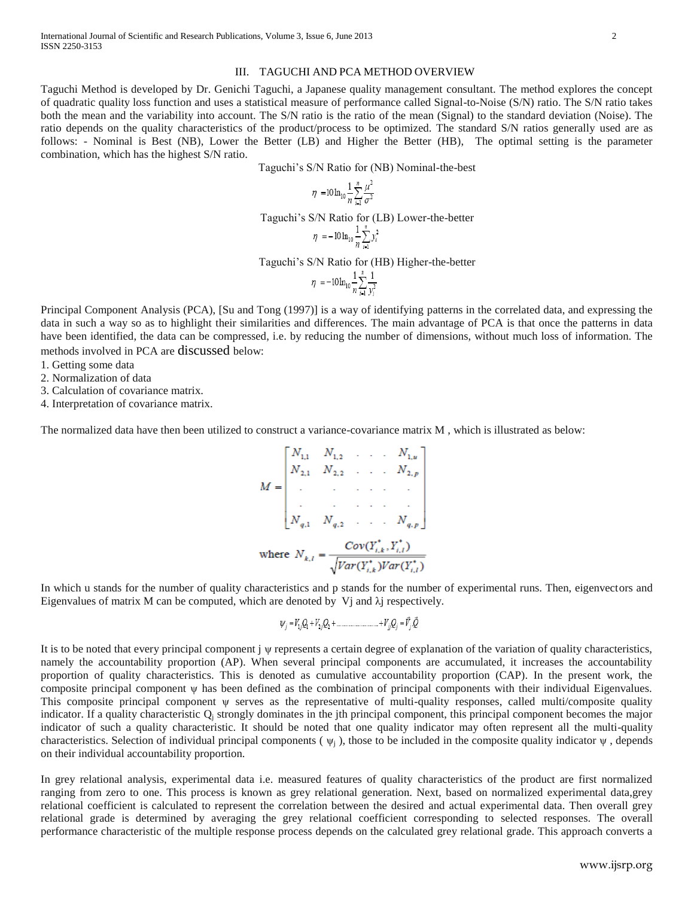#### III. TAGUCHI AND PCA METHOD OVERVIEW

Taguchi Method is developed by Dr. Genichi Taguchi, a Japanese quality management consultant. The method explores the concept of quadratic quality loss function and uses a statistical measure of performance called Signal-to-Noise (S/N) ratio. The S/N ratio takes both the mean and the variability into account. The S/N ratio is the ratio of the mean (Signal) to the standard deviation (Noise). The ratio depends on the quality characteristics of the product/process to be optimized. The standard S/N ratios generally used are as follows: - Nominal is Best (NB), Lower the Better (LB) and Higher the Better (HB), The optimal setting is the parameter combination, which has the highest S/N ratio.

Taguchi's S/N Ratio for (NB) Nominal-the-best

$$
\eta = 10 \ln_{10} \frac{1}{n} \sum_{i=1}^{n} \frac{\mu^2}{\sigma^2}
$$

Taguchi's S/N Ratio for (LB) Lower-the-better

$$
\eta = -10 \ln_{10} \frac{1}{n} \sum_{i=1}^{n} y_i^2
$$

Taguchi's S/N Ratio for (HB) Higher-the-better

$$
\eta = -10 \ln_{10} \frac{1}{n} \sum_{i=1}^{n} \frac{1}{y_i^2}
$$

Principal Component Analysis (PCA), [Su and Tong (1997)] is a way of identifying patterns in the correlated data, and expressing the data in such a way so as to highlight their similarities and differences. The main advantage of PCA is that once the patterns in data have been identified, the data can be compressed, i.e. by reducing the number of dimensions, without much loss of information. The methods involved in PCA are discussed below:

1. Getting some data

2. Normalization of data

3. Calculation of covariance matrix.

4. Interpretation of covariance matrix.

The normalized data have then been utilized to construct a variance-covariance matrix M , which is illustrated as below:

$$
M = \begin{bmatrix} N_{1,1} & N_{1,2} & \cdots & N_{1,u} \\ N_{2,1} & N_{2,2} & \cdots & N_{2,p} \\ \vdots & \vdots & \ddots & \vdots \\ N_{q,1} & N_{q,2} & \cdots & N_{q,p} \end{bmatrix}
$$
  
where  $N_{k,l} = \frac{Cov(Y_{i,k}^*, Y_{i,l}^*)}{\sqrt{Var(Y_{i,k}^*)Var(Y_{i,l}^*)}}$ 

In which u stands for the number of quality characteristics and p stands for the number of experimental runs. Then, eigenvectors and Eigenvalues of matrix M can be computed, which are denoted by Vj and  $\lambda$ j respectively.

$$
\psi_j = V_{1j} Q_1 + V_{2j} Q_2 + \dots + V_{jj} Q_j = V_j Q
$$

It is to be noted that every principal component j ψ represents a certain degree of explanation of the variation of quality characteristics, namely the accountability proportion (AP). When several principal components are accumulated, it increases the accountability proportion of quality characteristics. This is denoted as cumulative accountability proportion (CAP). In the present work, the composite principal component ψ has been defined as the combination of principal components with their individual Eigenvalues. This composite principal component ψ serves as the representative of multi-quality responses, called multi/composite quality indicator. If a quality characteristic  $Q_i$  strongly dominates in the jth principal component, this principal component becomes the major indicator of such a quality characteristic. It should be noted that one quality indicator may often represent all the multi-quality characteristics. Selection of individual principal components ( $\psi_i$ ), those to be included in the composite quality indicator  $\psi$ , depends on their individual accountability proportion.

In grey relational analysis, experimental data i.e. measured features of quality characteristics of the product are first normalized ranging from zero to one. This process is known as grey relational generation. Next, based on normalized experimental data,grey relational coefficient is calculated to represent the correlation between the desired and actual experimental data. Then overall grey relational grade is determined by averaging the grey relational coefficient corresponding to selected responses. The overall performance characteristic of the multiple response process depends on the calculated grey relational grade. This approach converts a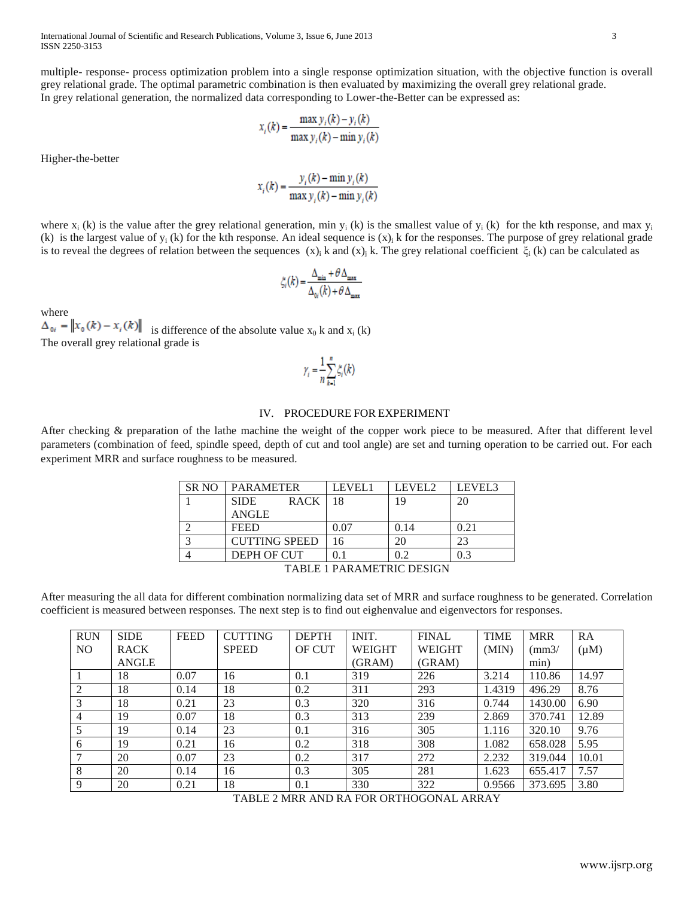International Journal of Scientific and Research Publications, Volume 3, Issue 6, June 2013 3 ISSN 2250-3153

multiple- response- process optimization problem into a single response optimization situation, with the objective function is overall grey relational grade. The optimal parametric combination is then evaluated by maximizing the overall grey relational grade. In grey relational generation, the normalized data corresponding to Lower-the-Better can be expressed as:

$$
x_i(k) = \frac{\max y_i(k) - y_i(k)}{\max y_i(k) - \min y_i(k)}
$$

Higher-the-better

$$
x_i(k) = \frac{y_i(k) - \min y_i(k)}{\max y_i(k) - \min y_i(k)}
$$

where  $x_i$  (k) is the value after the grey relational generation, min  $y_i$  (k) is the smallest value of  $y_i$  (k) for the kth response, and max  $y_i$ (k) is the largest value of  $y_i$  (k) for the kth response. An ideal sequence is  $(x)_i$  k for the responses. The purpose of grey relational grade is to reveal the degrees of relation between the sequences  $(x)$ <sub>i</sub> k and  $(x)$ <sub>i</sub> k. The grey relational coefficient  $\xi_i$  (k) can be calculated as

$$
\zeta_i(k) = \frac{\Delta_{\min} + \theta \, \Delta_{\max}}{\Delta_{\text{0i}}(k) + \theta \, \Delta_{\max}}
$$

where

 $\Delta_{0i} = ||x_0(k) - x_i(k)||$  is difference of the absolute value  $x_0$  k and  $x_i$  (k) The overall grey relational grade is

$$
\gamma_i = \frac{1}{n} \sum_{k=1}^n \zeta_i(k)
$$

### IV. PROCEDURE FOR EXPERIMENT

After checking & preparation of the lathe machine the weight of the copper work piece to be measured. After that different level parameters (combination of feed, spindle speed, depth of cut and tool angle) are set and turning operation to be carried out. For each experiment MRR and surface roughness to be measured.

| SR <sub>NO</sub>          | <b>PARAMETER</b>           | LEVEL1 | LEVEL <sub>2</sub> | LEVEL3 |
|---------------------------|----------------------------|--------|--------------------|--------|
|                           | <b>RACK</b><br><b>SIDE</b> | 18     | 19                 | 20     |
|                           | <b>ANGLE</b>               |        |                    |        |
|                           | <b>FEED</b>                | 0.07   | 0.14               | 0.21   |
| $\overline{a}$            | <b>CUTTING SPEED</b>       | 16     | 20                 | 23     |
|                           | DEPH OF CUT                | 0.1    | 0.2                | 0.3    |
| TABLE 1 PARAMETRIC DESIGN |                            |        |                    |        |

After measuring the all data for different combination normalizing data set of MRR and surface roughness to be generated. Correlation coefficient is measured between responses. The next step is to find out eighenvalue and eigenvectors for responses.

| <b>RUN</b> | <b>SIDE</b>  | <b>FEED</b> | <b>CUTTING</b> | <b>DEPTH</b>  | INIT.         | <b>FINAL</b>  | <b>TIME</b> | <b>MRR</b>      | RA        |
|------------|--------------|-------------|----------------|---------------|---------------|---------------|-------------|-----------------|-----------|
| NO.        | <b>RACK</b>  |             | <b>SPEED</b>   | <b>OF CUT</b> | <b>WEIGHT</b> | <b>WEIGHT</b> | (MIN)       | $\frac{mm3}{ }$ | $(\mu M)$ |
|            | <b>ANGLE</b> |             |                |               | (GRAM)        | (GRAM)        |             | min)            |           |
|            | 18           | 0.07        | 16             | 0.1           | 319           | 226           | 3.214       | 110.86          | 14.97     |
| 2          | 18           | 0.14        | 18             | 0.2           | 311           | 293           | 1.4319      | 496.29          | 8.76      |
| 3          | 18           | 0.21        | 23             | 0.3           | 320           | 316           | 0.744       | 1430.00         | 6.90      |
| 4          | 19           | 0.07        | 18             | 0.3           | 313           | 239           | 2.869       | 370.741         | 12.89     |
| 5          | 19           | 0.14        | 23             | 0.1           | 316           | 305           | 1.116       | 320.10          | 9.76      |
| 6          | 19           | 0.21        | 16             | 0.2           | 318           | 308           | 1.082       | 658.028         | 5.95      |
|            | 20           | 0.07        | 23             | 0.2           | 317           | 272           | 2.232       | 319.044         | 10.01     |
| 8          | 20           | 0.14        | 16             | 0.3           | 305           | 281           | 1.623       | 655.417         | 7.57      |
| 9          | 20           | 0.21        | 18             | 0.1           | 330           | 322           | 0.9566      | 373.695         | 3.80      |

TABLE 2 MRR AND RA FOR ORTHOGONAL ARRAY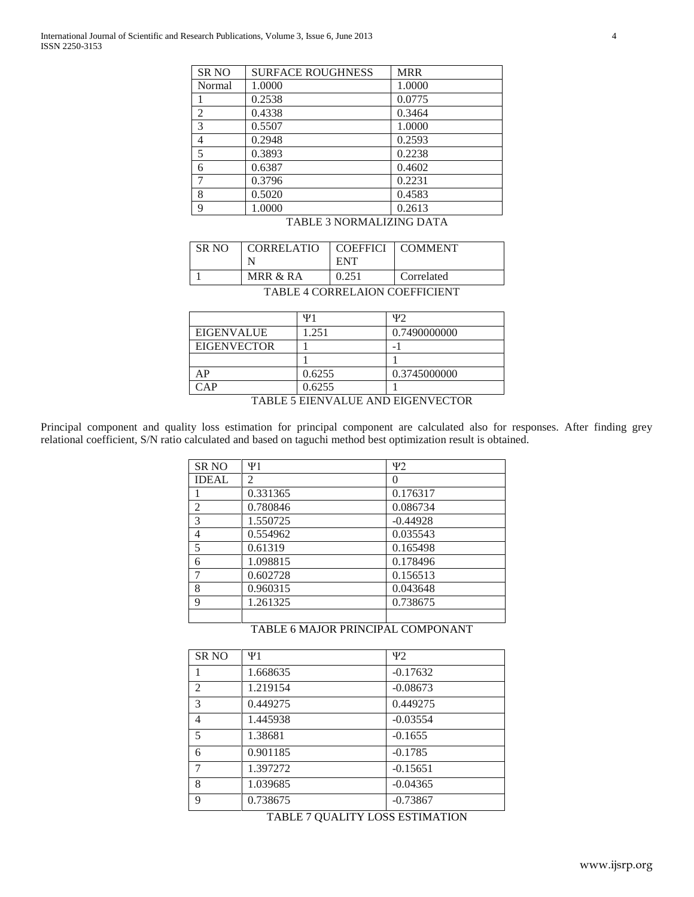| <b>SR NO</b>          | <b>SURFACE ROUGHNESS</b> | <b>MRR</b> |  |  |
|-----------------------|--------------------------|------------|--|--|
| Normal                | 1.0000                   | 1.0000     |  |  |
|                       | 0.2538                   | 0.0775     |  |  |
| $\mathfrak{D}$        | 0.4338                   | 0.3464     |  |  |
| 3                     | 0.5507                   | 1.0000     |  |  |
| 4                     | 0.2948                   | 0.2593     |  |  |
| 5                     | 0.3893                   | 0.2238     |  |  |
| 6                     | 0.6387                   | 0.4602     |  |  |
|                       | 0.3796                   | 0.2231     |  |  |
| 8                     | 0.5020                   | 0.4583     |  |  |
| $\mathbf Q$           | 1.0000                   | 0.2613     |  |  |
| $H \cup H$ $H \cap H$ |                          |            |  |  |

## TABLE 3 NORMALIZING DATA

| SR NO | CORRELATIO | COEFFICI<br><b>ENT</b> | <b>COMMENT</b> |
|-------|------------|------------------------|----------------|
|       | MRR & RA   | 0.251                  | Correlated     |

TABLE 4 CORRELAION COEFFICIENT

|                    | Ψ1     | Ψ2           |
|--------------------|--------|--------------|
| <b>EIGENVALUE</b>  | 1.251  | 0.7490000000 |
| <b>EIGENVECTOR</b> |        | -            |
|                    |        |              |
| AP                 | 0.6255 | 0.3745000000 |
| $\cap$ A P         | 0.6255 |              |

TABLE 5 EIENVALUE AND EIGENVECTOR

Principal component and quality loss estimation for principal component are calculated also for responses. After finding grey relational coefficient, S/N ratio calculated and based on taguchi method best optimization result is obtained.

|                | $\Psi$ 1 | $\Psi$ 2   |
|----------------|----------|------------|
| <b>SR NO</b>   |          |            |
| <b>IDEAL</b>   | 2        | $\theta$   |
|                | 0.331365 | 0.176317   |
| $\overline{2}$ | 0.780846 | 0.086734   |
| 3              | 1.550725 | $-0.44928$ |
| 4              | 0.554962 | 0.035543   |
| 5              | 0.61319  | 0.165498   |
| 6              | 1.098815 | 0.178496   |
|                | 0.602728 | 0.156513   |
| 8              | 0.960315 | 0.043648   |
| $\mathbf Q$    | 1.261325 | 0.738675   |
|                |          |            |

# TABLE 6 MAJOR PRINCIPAL COMPONANT

| <b>SR NO</b>   | $\Psi$ 1 | Ψ2         |
|----------------|----------|------------|
|                | 1.668635 | $-0.17632$ |
| $\overline{2}$ | 1.219154 | $-0.08673$ |
| 3              | 0.449275 | 0.449275   |
| $\overline{4}$ | 1.445938 | $-0.03554$ |
| 5              | 1.38681  | $-0.1655$  |
| 6              | 0.901185 | $-0.1785$  |
| $\overline{7}$ | 1.397272 | $-0.15651$ |
| 8              | 1.039685 | $-0.04365$ |
| 9              | 0.738675 | $-0.73867$ |

## TABLE 7 QUALITY LOSS ESTIMATION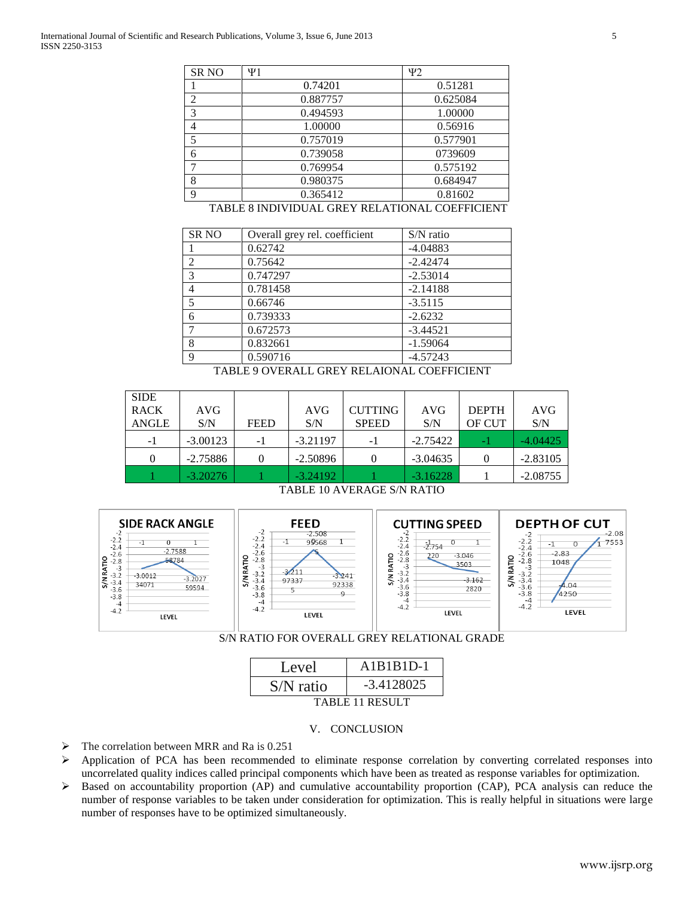|                                                | <b>SR NO</b>   | $\Psi$ 1 | $\Psi$ 2 |
|------------------------------------------------|----------------|----------|----------|
|                                                |                | 0.74201  | 0.51281  |
|                                                | ◠              | 0.887757 | 0.625084 |
|                                                | 3              | 0.494593 | 1.00000  |
|                                                | $\overline{4}$ | 1.00000  | 0.56916  |
|                                                |                | 0.757019 | 0.577901 |
|                                                | 6              | 0.739058 | 0739609  |
|                                                |                | 0.769954 | 0.575192 |
|                                                | 8              | 0.980375 | 0.684947 |
|                                                | $\Omega$       | 0.365412 | 0.81602  |
| TABLE 8 INDIVIDUAL GREY RELATIONAL COEFFICIENT |                |          |          |

| <b>SR NO</b>   | Overall grey rel. coefficient | $S/N$ ratio |
|----------------|-------------------------------|-------------|
|                | 0.62742                       | $-4.04883$  |
| $\overline{c}$ | 0.75642                       | $-2.42474$  |
| 3              | 0.747297                      | $-2.53014$  |
| 4              | 0.781458                      | $-2.14188$  |
| 5              | 0.66746                       | $-3.5115$   |
| 6              | 0.739333                      | $-2.6232$   |
| 7              | 0.672573                      | $-3.44521$  |
| 8              | 0.832661                      | $-1.59064$  |
| $\mathbf Q$    | 0.590716                      | $-4.57243$  |

TABLE 9 OVERALL GREY RELAIONAL COEFFICIENT

| <b>SIDE</b>  |            |             |            |                |            |              |            |
|--------------|------------|-------------|------------|----------------|------------|--------------|------------|
| <b>RACK</b>  | AVG        |             | <b>AVG</b> | <b>CUTTING</b> | AVG        | <b>DEPTH</b> | <b>AVG</b> |
| <b>ANGLE</b> | S/N        | <b>FEED</b> | S/N        | <b>SPEED</b>   | S/N        | OF CUT       | S/N        |
| $-1$         | $-3.00123$ | - 1         | $-3.21197$ | -1             | $-2.75422$ | $\sim$       | $-4.04425$ |
|              | $-2.75886$ |             | $-2.50896$ |                | $-3.04635$ |              | $-2.83105$ |
|              | $-3.20276$ |             | $-3.24192$ |                | $-3.16228$ |              | $-2.08755$ |

TABLE 10 AVERAGE S/N RATIO





| Level           | $A1B1B1D-1$  |  |  |  |
|-----------------|--------------|--|--|--|
| $S/N$ ratio     | $-3.4128025$ |  |  |  |
| TABLE 11 RESULT |              |  |  |  |

## V. CONCLUSION

- $\triangleright$  The correlation between MRR and Ra is 0.251
- $\triangleright$  Application of PCA has been recommended to eliminate response correlation by converting correlated responses into uncorrelated quality indices called principal components which have been as treated as response variables for optimization.
- $\triangleright$  Based on accountability proportion (AP) and cumulative accountability proportion (CAP), PCA analysis can reduce the number of response variables to be taken under consideration for optimization. This is really helpful in situations were large number of responses have to be optimized simultaneously.